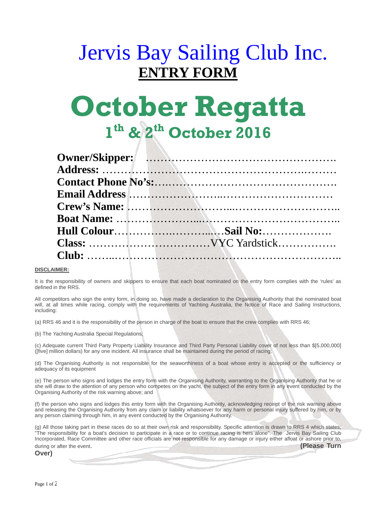## Jervis Bay Sailing Club Inc. **ENTRY FORM**

# **October Regatta 1th & 2th October 2016**

| Owner/Skipper://www.arthurs.com/www.arthurs.com/www.arthurs.com/www.arthurs.com/                                                                                                                           |
|------------------------------------------------------------------------------------------------------------------------------------------------------------------------------------------------------------|
|                                                                                                                                                                                                            |
|                                                                                                                                                                                                            |
| Email Address <b>Email Address Email Address Email Address Email Address Email Address Email Address Email Address Email Address Email Address Email Address Email Address Email Address Email Address</b> |
|                                                                                                                                                                                                            |
|                                                                                                                                                                                                            |
|                                                                                                                                                                                                            |
|                                                                                                                                                                                                            |
|                                                                                                                                                                                                            |

#### **DISCLAIMER:**

It is the responsibility of owners and skippers to ensure that each boat nominated on the entry form complies with the 'rules' as defined in the RRS.

All competitors who sign the entry form, in doing so, have made a declaration to the Organising Authority that the nominated boat will, at all times while racing, comply with the requirements of Yachting Australia, the Notice of Race and Sailing Instructions, including:

(a) RRS 46 and it is the responsibility of the person in charge of the boat to ensure that the crew complies with RRS 46;

(b) The Yachting Australia Special Regulations;

(c) Adequate current Third Party Property Liability Insurance and Third Party Personal Liability cover of not less than \$[5,000,000] ([five] million dollars) for any one incident. All insurance shall be maintained during the period of racing;

(d) The Organising Authority is not responsible for the seaworthiness of a boat whose entry is accepted or the sufficiency or adequacy of its equipment

(e) The person who signs and lodges the entry form with the Organising Authority, warranting to the Organising Authority that he or she will draw to the attention of any person who competes on the yacht, the subject of the entry form in any event conducted by the Organising Authority of the risk warning above; and

(f) the person who signs and lodges this entry form with the Organising Authority, acknowledging receipt of the risk warning above and releasing the Organising Authority from any claim or liability whatsoever for any harm or personal injury suffered by him, or by any person claiming through him, in any event conducted by the Organising Authority.

(g) All those taking part in these races do so at their own risk and responsibility. Specific attention is drawn to RRS 4 which states; "The responsibility for a boat's decision to participate in a race or to continue racing is hers alone". The Jervis Bay Sailing Club Incorporated, Race Committee and other race officials are not responsible for any damage or injury either afloat or ashore prior to, during or after the event. **(Please Turn ) (Please Turn** )

**Over)**

Page 1 of 2